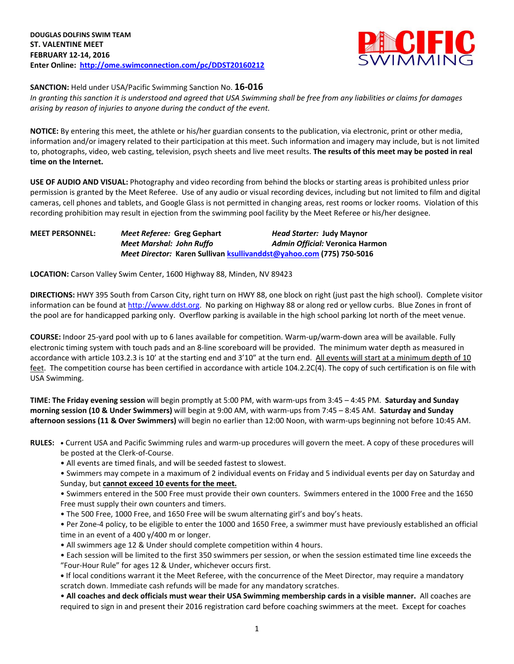

### **SANCTION:** Held under USA/Pacific Swimming Sanction No. **16-016**

*In granting this sanction it is understood and agreed that USA Swimming shall be free from any liabilities or claims for damages arising by reason of injuries to anyone during the conduct of the event.*

**NOTICE:** By entering this meet, the athlete or his/her guardian consents to the publication, via electronic, print or other media, information and/or imagery related to their participation at this meet. Such information and imagery may include, but is not limited to, photographs, video, web casting, television, psych sheets and live meet results. **The results of this meet may be posted in real time on the Internet.**

**USE OF AUDIO AND VISUAL:** Photography and video recording from behind the blocks or starting areas is prohibited unless prior permission is granted by the Meet Referee. Use of any audio or visual recording devices, including but not limited to film and digital cameras, cell phones and tablets, and Google Glass is not permitted in changing areas, rest rooms or locker rooms. Violation of this recording prohibition may result in ejection from the swimming pool facility by the Meet Referee or his/her designee.

**MEET PERSONNEL:** *Meet Referee:* **Greg Gephart** *Head Starter:* **Judy Maynor** *Meet Marshal: John Ruffo Admin Official:* **Veronica Harmon** *Meet Director:* **Karen Sullivan [ksullivanddst@yahoo.com](mailto:ksullivanddst@yahoo.com) (775) 750-5016**

**LOCATION:** Carson Valley Swim Center, 1600 Highway 88, Minden, NV 89423

**DIRECTIONS:** HWY 395 South from Carson City, right turn on HWY 88, one block on right (just past the high school). Complete visitor information can be found a[t http://www.ddst.org.](http://www.ddst.org/) No parking on Highway 88 or along red or yellow curbs. Blue Zones in front of the pool are for handicapped parking only. Overflow parking is available in the high school parking lot north of the meet venue.

**COURSE:** Indoor 25-yard pool with up to 6 lanes available for competition. Warm-up/warm-down area will be available. Fully electronic timing system with touch pads and an 8-line scoreboard will be provided. The minimum water depth as measured in accordance with article 103.2.3 is 10' at the starting end and 3'10" at the turn end. All events will start at a minimum depth of 10 feet. The competition course has been certified in accordance with article 104.2.2C(4). The copy of such certification is on file with USA Swimming.

**TIME: The Friday evening session** will begin promptly at 5:00 PM, with warm-ups from 3:45 – 4:45 PM. **Saturday and Sunday morning session (10 & Under Swimmers)** will begin at 9:00 AM, with warm-ups from 7:45 – 8:45 AM. **Saturday and Sunday afternoon sessions (11 & Over Swimmers)** will begin no earlier than 12:00 Noon, with warm-ups beginning not before 10:45 AM.

**RULES: •** Current USA and Pacific Swimming rules and warm-up procedures will govern the meet. A copy of these procedures will be posted at the Clerk-of-Course.

• All events are timed finals, and will be seeded fastest to slowest.

• Swimmers may compete in a maximum of 2 individual events on Friday and 5 individual events per day on Saturday and Sunday, but **cannot exceed 10 events for the meet.**

• Swimmers entered in the 500 Free must provide their own counters. Swimmers entered in the 1000 Free and the 1650 Free must supply their own counters and timers.

• The 500 Free, 1000 Free, and 1650 Free will be swum alternating girl's and boy's heats.

• Per Zone-4 policy, to be eligible to enter the 1000 and 1650 Free, a swimmer must have previously established an official time in an event of a 400 y/400 m or longer.

- All swimmers age 12 & Under should complete competition within 4 hours.
- Each session will be limited to the first 350 swimmers per session, or when the session estimated time line exceeds the "Four-Hour Rule" for ages 12 & Under, whichever occurs first.

**•** If local conditions warrant it the Meet Referee, with the concurrence of the Meet Director, may require a mandatory scratch down. Immediate cash refunds will be made for any mandatory scratches.

• **All coaches and deck officials must wear their USA Swimming membership cards in a visible manner.** All coaches are required to sign in and present their 2016 registration card before coaching swimmers at the meet. Except for coaches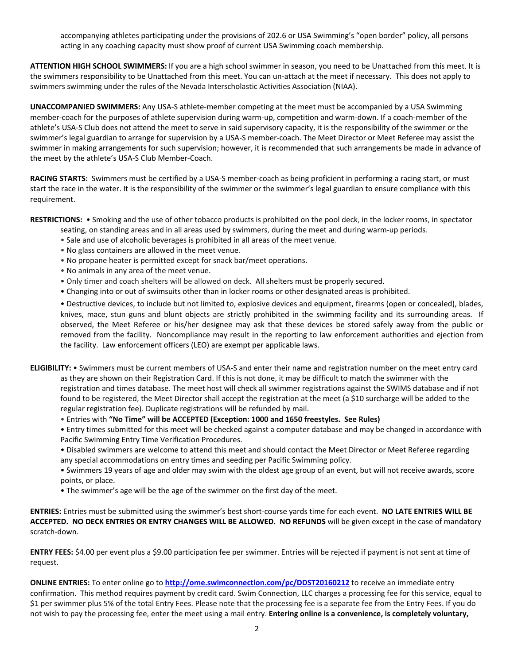accompanying athletes participating under the provisions of 202.6 or USA Swimming's "open border" policy, all persons acting in any coaching capacity must show proof of current USA Swimming coach membership.

**ATTENTION HIGH SCHOOL SWIMMERS:** If you are a high school swimmer in season, you need to be Unattached from this meet. It is the swimmers responsibility to be Unattached from this meet. You can un-attach at the meet if necessary. This does not apply to swimmers swimming under the rules of the Nevada Interscholastic Activities Association (NIAA).

**UNACCOMPANIED SWIMMERS:** Any USA-S athlete-member competing at the meet must be accompanied by a USA Swimming member-coach for the purposes of athlete supervision during warm-up, competition and warm-down. If a coach-member of the athlete's USA-S Club does not attend the meet to serve in said supervisory capacity, it is the responsibility of the swimmer or the swimmer's legal guardian to arrange for supervision by a USA-S member-coach. The Meet Director or Meet Referee may assist the swimmer in making arrangements for such supervision; however, it is recommended that such arrangements be made in advance of the meet by the athlete's USA-S Club Member-Coach.

**RACING STARTS:** Swimmers must be certified by a USA-S member-coach as being proficient in performing a racing start, or must start the race in the water. It is the responsibility of the swimmer or the swimmer's legal guardian to ensure compliance with this requirement.

**RESTRICTIONS:** • Smoking and the use of other tobacco products is prohibited on the pool deck, in the locker rooms, in spectator

- seating, on standing areas and in all areas used by swimmers, during the meet and during warm-up periods.
- Sale and use of alcoholic beverages is prohibited in all areas of the meet venue.
- No glass containers are allowed in the meet venue.
- No propane heater is permitted except for snack bar/meet operations.
- No animals in any area of the meet venue.
- Only timer and coach shelters will be allowed on deck. All shelters must be properly secured.
- Changing into or out of swimsuits other than in locker rooms or other designated areas is prohibited.

• Destructive devices, to include but not limited to, explosive devices and equipment, firearms (open or concealed), blades, knives, mace, stun guns and blunt objects are strictly prohibited in the swimming facility and its surrounding areas. If observed, the Meet Referee or his/her designee may ask that these devices be stored safely away from the public or removed from the facility. Noncompliance may result in the reporting to law enforcement authorities and ejection from the facility. Law enforcement officers (LEO) are exempt per applicable laws.

**ELIGIBILITY:** • Swimmers must be current members of USA-S and enter their name and registration number on the meet entry card as they are shown on their Registration Card. If this is not done, it may be difficult to match the swimmer with the registration and times database. The meet host will check all swimmer registrations against the SWIMS database and if not found to be registered, the Meet Director shall accept the registration at the meet (a \$10 surcharge will be added to the regular registration fee). Duplicate registrations will be refunded by mail.

• Entries with **"No Time" will be ACCEPTED (Exception: 1000 and 1650 freestyles. See Rules)**

• Entry times submitted for this meet will be checked against a computer database and may be changed in accordance with Pacific Swimming Entry Time Verification Procedures.

- Disabled swimmers are welcome to attend this meet and should contact the Meet Director or Meet Referee regarding any special accommodations on entry times and seeding per Pacific Swimming policy.
- Swimmers 19 years of age and older may swim with the oldest age group of an event, but will not receive awards, score points, or place.
- The swimmer's age will be the age of the swimmer on the first day of the meet.

**ENTRIES:** Entries must be submitted using the swimmer's best short-course yards time for each event. **NO LATE ENTRIES WILL BE ACCEPTED. NO DECK ENTRIES OR ENTRY CHANGES WILL BE ALLOWED. NO REFUNDS** will be given except in the case of mandatory scratch-down.

**ENTRY FEES:** \$4.00 per event plus a \$9.00 participation fee per swimmer. Entries will be rejected if payment is not sent at time of request.

**ONLINE ENTRIES:** To enter online go to **<http://ome.swimconnection.com/pc/DDST20160212>** to receive an immediate entry confirmation. This method requires payment by credit card. Swim Connection, LLC charges a processing fee for this service, equal to \$1 per swimmer plus 5% of the total Entry Fees. Please note that the processing fee is a separate fee from the Entry Fees. If you do not wish to pay the processing fee, enter the meet using a mail entry. **Entering online is a convenience, is completely voluntary,**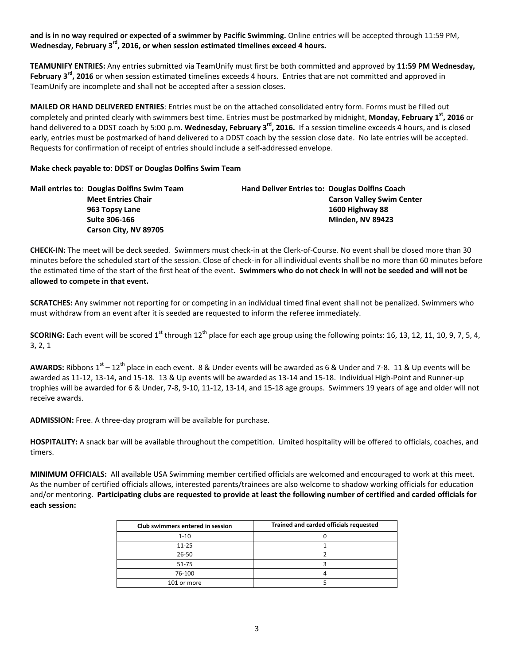**and is in no way required or expected of a swimmer by Pacific Swimming.** Online entries will be accepted through 11:59 PM, **Wednesday, February 3rd, 2016, or when session estimated timelines exceed 4 hours.**

**TEAMUNIFY ENTRIES:** Any entries submitted via TeamUnify must first be both committed and approved by **11:59 PM Wednesday, February 3rd, 2016** or when session estimated timelines exceeds 4 hours. Entries that are not committed and approved in TeamUnify are incomplete and shall not be accepted after a session closes.

**MAILED OR HAND DELIVERED ENTRIES**: Entries must be on the attached consolidated entry form. Forms must be filled out completely and printed clearly with swimmers best time. Entries must be postmarked by midnight, **Monday, February 1st, 2016** or hand delivered to a DDST coach by 5:00 p.m. **Wednesday, February 3rd, 2016.** If a session timeline exceeds 4 hours, and is closed early, entries must be postmarked of hand delivered to a DDST coach by the session close date. No late entries will be accepted. Requests for confirmation of receipt of entries should include a self-addressed envelope.

## **Make check payable to**: **DDST or Douglas Dolfins Swim Team**

| Mail entries to: Douglas Dolfins Swim Team | <b>Hand Deliver Entries to: Douglas Dolfins Coach</b> |
|--------------------------------------------|-------------------------------------------------------|
| <b>Meet Entries Chair</b>                  | <b>Carson Valley Swim Center</b>                      |
| 963 Topsy Lane                             | 1600 Highway 88                                       |
| Suite 306-166                              | <b>Minden. NV 89423</b>                               |
| Carson City, NV 89705                      |                                                       |

**CHECK-IN:** The meet will be deck seeded. Swimmers must check-in at the Clerk-of-Course. No event shall be closed more than 30 minutes before the scheduled start of the session. Close of check-in for all individual events shall be no more than 60 minutes before the estimated time of the start of the first heat of the event. **Swimmers who do not check in will not be seeded and will not be allowed to compete in that event.**

**SCRATCHES:** Any swimmer not reporting for or competing in an individual timed final event shall not be penalized. Swimmers who must withdraw from an event after it is seeded are requested to inform the referee immediately.

**SCORING:** Each event will be scored 1<sup>st</sup> through 12<sup>th</sup> place for each age group using the following points: 16, 13, 12, 11, 10, 9, 7, 5, 4, 3, 2, 1

AWARDS: Ribbons 1<sup>st</sup> – 12<sup>th</sup> place in each event. 8 & Under events will be awarded as 6 & Under and 7-8. 11 & Up events will be awarded as 11-12, 13-14, and 15-18. 13 & Up events will be awarded as 13-14 and 15-18. Individual High-Point and Runner-up trophies will be awarded for 6 & Under, 7-8, 9-10, 11-12, 13-14, and 15-18 age groups. Swimmers 19 years of age and older will not receive awards.

**ADMISSION:** Free. A three-day program will be available for purchase.

**HOSPITALITY:** A snack bar will be available throughout the competition. Limited hospitality will be offered to officials, coaches, and timers.

**MINIMUM OFFICIALS:** All available USA Swimming member certified officials are welcomed and encouraged to work at this meet. As the number of certified officials allows, interested parents/trainees are also welcome to shadow working officials for education and/or mentoring. **Participating clubs are requested to provide at least the following number of certified and carded officials for each session:**

| Club swimmers entered in session | Trained and carded officials requested |
|----------------------------------|----------------------------------------|
| $1 - 10$                         |                                        |
| $11 - 25$                        |                                        |
| 26-50                            |                                        |
| $51 - 75$                        |                                        |
| 76-100                           |                                        |
| 101 or more                      |                                        |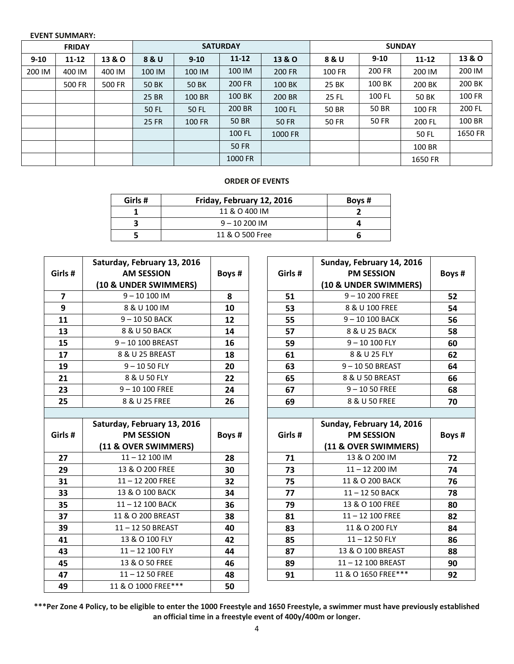#### **EVENT SUMMARY:**

| <b>FRIDAY</b> |           | <b>SATURDAY</b>   |              |              | <b>SUNDAY</b> |                   |        |          |              |               |
|---------------|-----------|-------------------|--------------|--------------|---------------|-------------------|--------|----------|--------------|---------------|
| $9 - 10$      | $11 - 12$ | <b>13 &amp; O</b> | 8 & U        | $9 - 10$     | $11 - 12$     | <b>13 &amp; O</b> | 8 & U  | $9 - 10$ | $11 - 12$    | 13 & O        |
| 200 IM        | 400 IM    | 400 IM            | 100 IM       | 100 IM       | 100 IM        | 200 FR            | 100 FR | 200 FR   | 200 IM       | 200 IM        |
|               | 500 FR    | 500 FR            | <b>50 BK</b> | <b>50 BK</b> | 200 FR        | 100 BK            | 25 BK  | 100 BK   | 200 BK       | 200 BK        |
|               |           |                   | 25 BR        | 100 BR       | 100 BK        | 200 BR            | 25 FL  | 100 FL   | <b>50 BK</b> | <b>100 FR</b> |
|               |           |                   | 50 FL        | 50 FL        | 200 BR        | 100 FL            | 50 BR  | 50 BR    | 100 FR       | 200 FL        |
|               |           |                   | 25 FR        | 100 FR       | 50 BR         | <b>50 FR</b>      | 50 FR  | 50 FR    | 200 FL       | 100 BR        |
|               |           |                   |              |              | 100 FL        | 1000 FR           |        |          | 50 FL        | 1650 FR       |
|               |           |                   |              |              | <b>50 FR</b>  |                   |        |          | 100 BR       |               |
|               |           |                   |              |              | 1000 FR       |                   |        |          | 1650 FR      |               |

## **ORDER OF EVENTS**

| Girls # | Friday, February 12, 2016 | Boys # |
|---------|---------------------------|--------|
|         | 11 & O 400 IM             |        |
|         | $9 - 10200$ IM            |        |
|         | 11 & O 500 Free           |        |

| Girls # | Saturday, February 13, 2016<br><b>AM SESSION</b><br>(10 & UNDER SWIMMERS) | Boys # |
|---------|---------------------------------------------------------------------------|--------|
| 7       | $9 - 10100$ IM                                                            | 8      |
| 9       | 8 & U 100 IM                                                              | 10     |
| 11      | $9 - 1050$ BACK                                                           | 12     |
| 13      | 8 & U 50 BACK                                                             | 14     |
| 15      | $9 - 10100$ BREAST                                                        | 16     |
| 17      | 8 & U 25 BREAST                                                           | 18     |
| 19      | $9 - 1050$ FLY                                                            | 20     |
| 21      | 8 & U 50 FLY                                                              | 22     |
| 23      | $9 - 10100$ FREE                                                          | 24     |
| 25      | 8 & U 25 FREE                                                             | 26     |
|         |                                                                           |        |

| Saturday, February 13, 2016<br>Girls #<br><b>PM SESSION</b><br>(11 & OVER SWIMMERS) |                     | Boys # |
|-------------------------------------------------------------------------------------|---------------------|--------|
| 27                                                                                  | $11 - 12100$ IM     | 28     |
| 29                                                                                  | 13 & O 200 FREE     | 30     |
| 31                                                                                  | $11 - 12$ 200 FREE  | 32     |
| 33                                                                                  | 13 & O 100 BACK     | 34     |
| 35                                                                                  | 11-12 100 BACK      | 36     |
| 37                                                                                  | 11 & O 200 BREAST   | 38     |
| 39                                                                                  | 11-12 50 BREAST     | 40     |
| 41                                                                                  | 13 & O 100 FLY      | 42     |
| 43                                                                                  | 11-12 100 FLY       | 44     |
| 45                                                                                  | 13 & O 50 FREE      | 46     |
| 47                                                                                  | $11 - 1250$ FREE    | 48     |
| 49                                                                                  | 11 & O 1000 FREE*** | 50     |

| Girls # | Sunday, February 14, 2016<br><b>PM SESSION</b><br>(10 & UNDER SWIMMERS) | Boys # |
|---------|-------------------------------------------------------------------------|--------|
| 51      | $9 - 10200$ FREE                                                        | 52     |
| 53      | 8 & U 100 FREE                                                          | 54     |
| 55      | $9 - 10100$ BACK                                                        | 56     |
| 57      | 8 & U 25 BACK                                                           | 58     |
| 59      | $9 - 10100$ FLY                                                         | 60     |
| 61      | 8 & U 25 FLY                                                            | 62     |
| 63      | $9 - 1050$ BREAST                                                       | 64     |
| 65      | 8 & U 50 BREAST                                                         | 66     |
| 67      | $9 - 1050$ FREE                                                         | 68     |
| 69      | 8 & U 50 FREE                                                           | 70     |

| Girls # | Sunday, February 14, 2016<br><b>PM SESSION</b><br>(11 & OVER SWIMMERS) | Boys # |
|---------|------------------------------------------------------------------------|--------|
| 71      | 13 & O 200 IM                                                          | 72     |
| 73      | $11 - 12200$ IM                                                        | 74     |
| 75      | 11 & O 200 BACK                                                        | 76     |
| 77      | $11 - 1250$ BACK                                                       | 78     |
| 79      | 13 & O 100 FREE                                                        | 80     |
| 81      | $11 - 12$ 100 FREE                                                     | 82     |
| 83      | 11 & O 200 FLY                                                         | 84     |
| 85      | $11 - 1250$ FLY                                                        | 86     |
| 87      | 13 & O 100 BREAST                                                      | 88     |
| 89      | 11-12 100 BREAST                                                       | 90     |
| 91      | 11 & O 1650 FREE***                                                    | 92     |

**\*\*\*Per Zone 4 Policy, to be eligible to enter the 1000 Freestyle and 1650 Freestyle, a swimmer must have previously established an official time in a freestyle event of 400y/400m or longer.**